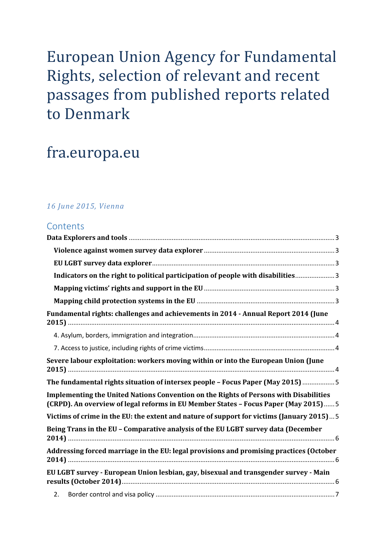# European Union Agency for Fundamental Rights, selection of relevant and recent passages from published reports related to Denmark

# fra.europa.eu

## *16 June 2015, Vienna*

## **Contents**

| Indicators on the right to political participation of people with disabilities 3                                                                                             |
|------------------------------------------------------------------------------------------------------------------------------------------------------------------------------|
|                                                                                                                                                                              |
|                                                                                                                                                                              |
| Fundamental rights: challenges and achievements in 2014 - Annual Report 2014 (June                                                                                           |
|                                                                                                                                                                              |
|                                                                                                                                                                              |
| Severe labour exploitation: workers moving within or into the European Union (June                                                                                           |
| The fundamental rights situation of intersex people - Focus Paper (May 2015) 5                                                                                               |
| Implementing the United Nations Convention on the Rights of Persons with Disabilities<br>(CRPD). An overview of legal reforms in EU Member States - Focus Paper (May 2015) 5 |
| Victims of crime in the EU: the extent and nature of support for victims (January 2015) 5                                                                                    |
| Being Trans in the EU - Comparative analysis of the EU LGBT survey data (December                                                                                            |
| Addressing forced marriage in the EU: legal provisions and promising practices (October                                                                                      |
| EU LGBT survey - European Union lesbian, gay, bisexual and transgender survey - Main                                                                                         |
| 2.                                                                                                                                                                           |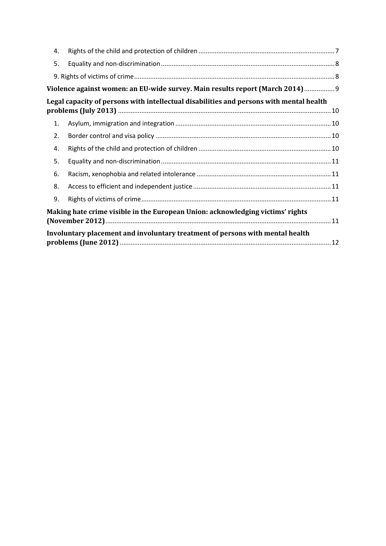| 4.                                                                                      |  |  |
|-----------------------------------------------------------------------------------------|--|--|
| 5.                                                                                      |  |  |
|                                                                                         |  |  |
| Violence against women: an EU-wide survey. Main results report (March 2014) 9           |  |  |
| Legal capacity of persons with intellectual disabilities and persons with mental health |  |  |
| 1.                                                                                      |  |  |
| 2.                                                                                      |  |  |
| 4.                                                                                      |  |  |
| 5.                                                                                      |  |  |
| 6.                                                                                      |  |  |
| 8.                                                                                      |  |  |
| 9.                                                                                      |  |  |
| Making hate crime visible in the European Union: acknowledging victims' rights          |  |  |
| Involuntary placement and involuntary treatment of persons with mental health           |  |  |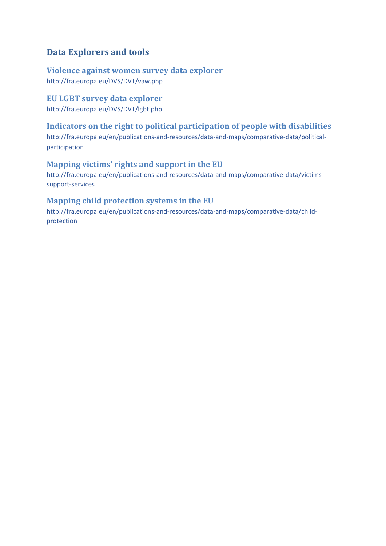# <span id="page-2-0"></span>**Data Explorers and tools**

<span id="page-2-1"></span>**Violence against women survey data explorer** <http://fra.europa.eu/DVS/DVT/vaw.php>

<span id="page-2-2"></span>**EU LGBT survey data explorer**

<http://fra.europa.eu/DVS/DVT/lgbt.php>

## <span id="page-2-3"></span>**Indicators on the right to political participation of people with disabilities**

[http://fra.europa.eu/en/publications-and-resources/data-and-maps/comparative-data/political](http://fra.europa.eu/en/publications-and-resources/data-and-maps/comparative-data/political-participation)[participation](http://fra.europa.eu/en/publications-and-resources/data-and-maps/comparative-data/political-participation)

## <span id="page-2-4"></span>**Mapping victims' rights and support in the EU**

[http://fra.europa.eu/en/publications-and-resources/data-and-maps/comparative-data/victims](http://fra.europa.eu/en/publications-and-resources/data-and-maps/comparative-data/victims-support-services)[support-services](http://fra.europa.eu/en/publications-and-resources/data-and-maps/comparative-data/victims-support-services)

## <span id="page-2-5"></span>**Mapping child protection systems in the EU**

[http://fra.europa.eu/en/publications-and-resources/data-and-maps/comparative-data/child](http://fra.europa.eu/en/publications-and-resources/data-and-maps/comparative-data/child-protection)[protection](http://fra.europa.eu/en/publications-and-resources/data-and-maps/comparative-data/child-protection)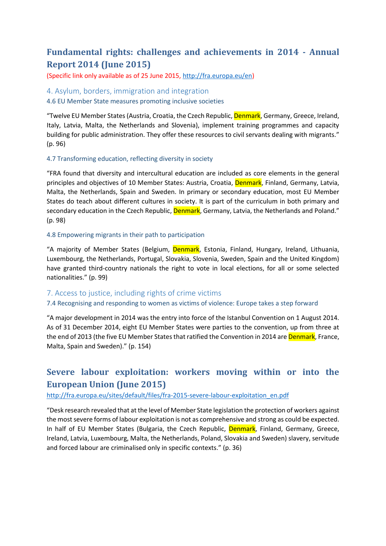# <span id="page-3-0"></span>**Fundamental rights: challenges and achievements in 2014 - Annual Report 2014 (June 2015)**

(Specific link only available as of 25 June 2015[, http://fra.europa.eu/en\)](http://fra.europa.eu/en)

#### <span id="page-3-1"></span>4. Asylum, borders, immigration and integration

4.6 EU Member State measures promoting inclusive societies

"Twelve EU Member States (Austria, Croatia, the Czech Republic, Denmark, Germany, Greece, Ireland, Italy, Latvia, Malta, the Netherlands and Slovenia), implement training programmes and capacity building for public administration. They offer these resources to civil servants dealing with migrants." (p. 96)

#### 4.7 Transforming education, reflecting diversity in society

"FRA found that diversity and intercultural education are included as core elements in the general principles and objectives of 10 Member States: Austria, Croatia, Denmark, Finland, Germany, Latvia, Malta, the Netherlands, Spain and Sweden. In primary or secondary education, most EU Member States do teach about different cultures in society. It is part of the curriculum in both primary and secondary education in the Czech Republic, Denmark, Germany, Latvia, the Netherlands and Poland." (p. 98)

#### 4.8 Empowering migrants in their path to participation

"A majority of Member States (Belgium, *Denmark*, Estonia, Finland, Hungary, Ireland, Lithuania, Luxembourg, the Netherlands, Portugal, Slovakia, Slovenia, Sweden, Spain and the United Kingdom) have granted third-country nationals the right to vote in local elections, for all or some selected nationalities." (p. 99)

## <span id="page-3-2"></span>7. Access to justice, including rights of crime victims

#### 7.4 Recognising and responding to women as victims of violence: Europe takes a step forward

"A major development in 2014 was the entry into force of the Istanbul Convention on 1 August 2014. As of 31 December 2014, eight EU Member States were parties to the convention, up from three at the end of 2013 (the five EU Member States that ratified the Convention in 2014 are Denmark, France, Malta, Spain and Sweden)." (p. 154)

# <span id="page-3-3"></span>**Severe labour exploitation: workers moving within or into the European Union (June 2015)**

#### [http://fra.europa.eu/sites/default/files/fra-2015-severe-labour-exploitation\\_en.pdf](http://fra.europa.eu/sites/default/files/fra-2015-severe-labour-exploitation_en.pdf)

"Desk research revealed that at the level of Member State legislation the protection of workers against the most severe forms of labour exploitation is not as comprehensive and strong as could be expected. In half of EU Member States (Bulgaria, the Czech Republic, Denmark, Finland, Germany, Greece, Ireland, Latvia, Luxembourg, Malta, the Netherlands, Poland, Slovakia and Sweden) slavery, servitude and forced labour are criminalised only in specific contexts." (p. 36)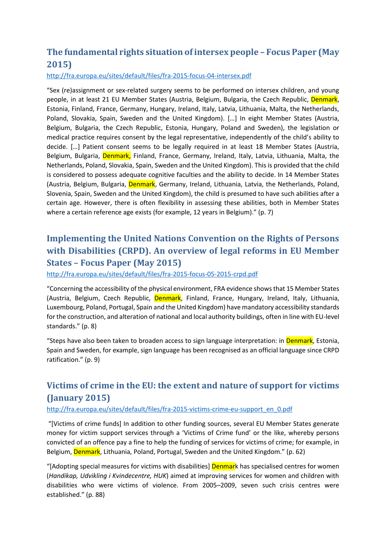# <span id="page-4-0"></span>**The fundamental rights situation of intersex people – Focus Paper (May 2015)**

## <http://fra.europa.eu/sites/default/files/fra-2015-focus-04-intersex.pdf>

"Sex (re)assignment or sex-related surgery seems to be performed on intersex children, and young people, in at least 21 EU Member States (Austria, Belgium, Bulgaria, the Czech Republic, Denmark, Estonia, Finland, France, Germany, Hungary, Ireland, Italy, Latvia, Lithuania, Malta, the Netherlands, Poland, Slovakia, Spain, Sweden and the United Kingdom). […] In eight Member States (Austria, Belgium, Bulgaria, the Czech Republic, Estonia, Hungary, Poland and Sweden), the legislation or medical practice requires consent by the legal representative, independently of the child's ability to decide. […] Patient consent seems to be legally required in at least 18 Member States (Austria, Belgium, Bulgaria, Denmark, Finland, France, Germany, Ireland, Italy, Latvia, Lithuania, Malta, the Netherlands, Poland, Slovakia, Spain, Sweden and the United Kingdom). This is provided that the child is considered to possess adequate cognitive faculties and the ability to decide. In 14 Member States (Austria, Belgium, Bulgaria, Denmark, Germany, Ireland, Lithuania, Latvia, the Netherlands, Poland, Slovenia, Spain, Sweden and the United Kingdom), the child is presumed to have such abilities after a certain age. However, there is often flexibility in assessing these abilities, both in Member States where a certain reference age exists (for example, 12 years in Belgium)." (p. 7)

# <span id="page-4-1"></span>**Implementing the United Nations Convention on the Rights of Persons with Disabilities (CRPD). An overview of legal reforms in EU Member States – Focus Paper (May 2015)**

<http://fra.europa.eu/sites/default/files/fra-2015-focus-05-2015-crpd.pdf>

"Concerning the accessibility of the physical environment, FRA evidence shows that 15 Member States (Austria, Belgium, Czech Republic, Denmark, Finland, France, Hungary, Ireland, Italy, Lithuania, Luxembourg, Poland, Portugal, Spain and the United Kingdom) have mandatory accessibility standards for the construction, and alteration of national and local authority buildings, often in line with EU-level standards." (p. 8)

"Steps have also been taken to broaden access to sign language interpretation: in Denmark, Estonia, Spain and Sweden, for example, sign language has been recognised as an official language since CRPD ratification." (p. 9)

# <span id="page-4-2"></span>**Victims of crime in the EU: the extent and nature of support for victims (January 2015)**

## [http://fra.europa.eu/sites/default/files/fra-2015-victims-crime-eu-support\\_en\\_0.pdf](http://fra.europa.eu/sites/default/files/fra-2015-victims-crime-eu-support_en_0.pdf)

"[Victims of crime funds] In addition to other funding sources, several EU Member States generate money for victim support services through a 'Victims of Crime fund' or the like, whereby persons convicted of an offence pay a fine to help the funding of services for victims of crime; for example, in Belgium, Denmark, Lithuania, Poland, Portugal, Sweden and the United Kingdom." (p. 62)

"[Adopting special measures for victims with disabilities] **Denmar**k has specialised centres for women (*Handikap, Udvikling i Kvindecentre, HUK*) aimed at improving services for women and children with disabilities who were victims of violence. From 2005–2009, seven such crisis centres were established." (p. 88)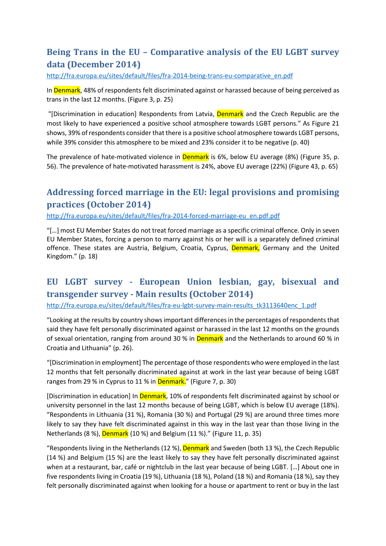# <span id="page-5-0"></span>**Being Trans in the EU – Comparative analysis of the EU LGBT survey data (December 2014)**

[http://fra.europa.eu/sites/default/files/fra-2014-being-trans-eu-comparative\\_en.pdf](http://fra.europa.eu/sites/default/files/fra-2014-being-trans-eu-comparative_en.pdf)

In Denmark, 48% of respondents felt discriminated against or harassed because of being perceived as trans in the last 12 months. (Figure 3, p. 25)

"[Discrimination in education] Respondents from Latvia, **Denmark** and the Czech Republic are the most likely to have experienced a positive school atmosphere towards LGBT persons." As Figure 21 shows, 39% of respondents consider that there is a positive school atmosphere towards LGBT persons, while 39% consider this atmosphere to be mixed and 23% consider it to be negative (p. 40)

The prevalence of hate-motivated violence in **Denmark** is 6%, below EU average (8%) (Figure 35, p. 56). The prevalence of hate-motivated harassment is 24%, above EU average (22%) (Figure 43, p. 65)

# <span id="page-5-1"></span>**Addressing forced marriage in the EU: legal provisions and promising practices (October 2014)**

[http://fra.europa.eu/sites/default/files/fra-2014-forced-marriage-eu\\_en.pdf.pdf](http://fra.europa.eu/sites/default/files/fra-2014-forced-marriage-eu_en.pdf.pdf)

"[…] most EU Member States do not treat forced marriage as a specific criminal offence. Only in seven EU Member States, forcing a person to marry against his or her will is a separately defined criminal offence. These states are Austria, Belgium, Croatia, Cyprus, Denmark, Germany and the United Kingdom." (p. 18)

# <span id="page-5-2"></span>**EU LGBT survey - European Union lesbian, gay, bisexual and transgender survey - Main results (October 2014)**

[http://fra.europa.eu/sites/default/files/fra-eu-lgbt-survey-main-results\\_tk3113640enc\\_1.pdf](http://fra.europa.eu/sites/default/files/fra-eu-lgbt-survey-main-results_tk3113640enc_1.pdf)

"Looking at the results by country shows important differences in the percentages of respondents that said they have felt personally discriminated against or harassed in the last 12 months on the grounds of sexual orientation, ranging from around 30 % in Denmark and the Netherlands to around 60 % in Croatia and Lithuania" (p. 26).

"[Discrimination in employment] The percentage of those respondents who were employed in the last 12 months that felt personally discriminated against at work in the last year because of being LGBT ranges from 29 % in Cyprus to 11 % in Denmark." (Figure 7, p. 30)

[Discrimination in education] In **Denmark**, 10% of respondents felt discriminated against by school or university personnel in the last 12 months because of being LGBT, which is below EU average (18%). "Respondents in Lithuania (31 %), Romania (30 %) and Portugal (29 %) are around three times more likely to say they have felt discriminated against in this way in the last year than those living in the Netherlands (8 %), Denmark (10 %) and Belgium (11 %)." (Figure 11, p. 35)

"Respondents living in the Netherlands (12 %), Denmark and Sweden (both 13 %), the Czech Republic (14 %) and Belgium (15 %) are the least likely to say they have felt personally discriminated against when at a restaurant, bar, café or nightclub in the last year because of being LGBT. […] About one in five respondents living in Croatia (19 %), Lithuania (18 %), Poland (18 %) and Romania (18 %), say they felt personally discriminated against when looking for a house or apartment to rent or buy in the last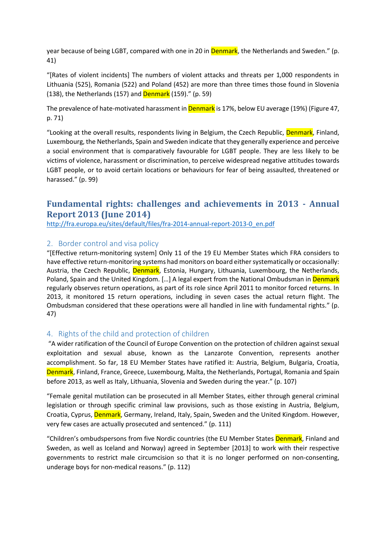year because of being LGBT, compared with one in 20 in Denmark, the Netherlands and Sweden." (p. 41)

"[Rates of violent incidents] The numbers of violent attacks and threats per 1,000 respondents in Lithuania (525), Romania (522) and Poland (452) are more than three times those found in Slovenia (138), the Netherlands (157) and **Denmark** (159)." (p. 59)

The prevalence of hate-motivated harassment in **Denmark** is 17%, below EU average (19%) (Figure 47, p. 71)

"Looking at the overall results, respondents living in Belgium, the Czech Republic, Denmark, Finland, Luxembourg, the Netherlands, Spain and Sweden indicate that they generally experience and perceive a social environment that is comparatively favourable for LGBT people. They are less likely to be victims of violence, harassment or discrimination, to perceive widespread negative attitudes towards LGBT people, or to avoid certain locations or behaviours for fear of being assaulted, threatened or harassed." (p. 99)

## **Fundamental rights: challenges and achievements in 2013 - Annual Report 2013 (June 2014)**

[http://fra.europa.eu/sites/default/files/fra-2014-annual-report-2013-0\\_en.pdf](http://fra.europa.eu/sites/default/files/fra-2014-annual-report-2013-0_en.pdf)

## <span id="page-6-0"></span>2. Border control and visa policy

"[Effective return-monitoring system] Only 11 of the 19 EU Member States which FRA considers to have effective return-monitoring systems had monitors on board either systematically or occasionally: Austria, the Czech Republic, Denmark, Estonia, Hungary, Lithuania, Luxembourg, the Netherlands, Poland, Spain and the United Kingdom. [...] A legal expert from the National Ombudsman in Denmark regularly observes return operations, as part of its role since April 2011 to monitor forced returns. In 2013, it monitored 15 return operations, including in seven cases the actual return flight. The Ombudsman considered that these operations were all handled in line with fundamental rights." (p. 47)

## <span id="page-6-1"></span>4. Rights of the child and protection of children

"A wider ratification of the Council of Europe Convention on the protection of children against sexual exploitation and sexual abuse, known as the Lanzarote Convention, represents another accomplishment. So far, 18 EU Member States have ratified it: Austria, Belgium, Bulgaria, Croatia, Denmark, Finland, France, Greece, Luxembourg, Malta, the Netherlands, Portugal, Romania and Spain before 2013, as well as Italy, Lithuania, Slovenia and Sweden during the year." (p. 107)

"Female genital mutilation can be prosecuted in all Member States, either through general criminal legislation or through specific criminal law provisions, such as those existing in Austria, Belgium, Croatia, Cyprus, Denmark, Germany, Ireland, Italy, Spain, Sweden and the United Kingdom. However, very few cases are actually prosecuted and sentenced." (p. 111)

"Children's ombudspersons from five Nordic countries (the EU Member States Denmark, Finland and Sweden, as well as Iceland and Norway) agreed in September [2013] to work with their respective governments to restrict male circumcision so that it is no longer performed on non-consenting, underage boys for non-medical reasons." (p. 112)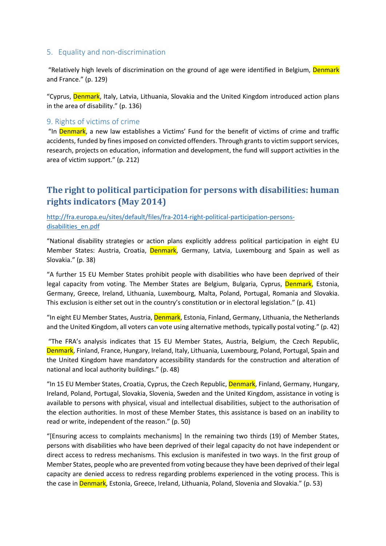## <span id="page-7-0"></span>5. Equality and non-discrimination

"Relatively high levels of discrimination on the ground of age were identified in Belgium, Denmark and France." (p. 129)

"Cyprus, Denmark, Italy, Latvia, Lithuania, Slovakia and the United Kingdom introduced action plans in the area of disability." (p. 136)

## <span id="page-7-1"></span>9. Rights of victims of crime

"In Denmark, a new law establishes a Victims' Fund for the benefit of victims of crime and traffic accidents, funded by fines imposed on convicted offenders. Through grants to victim support services, research, projects on education, information and development, the fund will support activities in the area of victim support." (p. 212)

# **The right to political participation for persons with disabilities: human rights indicators (May 2014)**

[http://fra.europa.eu/sites/default/files/fra-2014-right-political-participation-persons](http://fra.europa.eu/sites/default/files/fra-2014-right-political-participation-persons-disabilities_en.pdf)[disabilities\\_en.pdf](http://fra.europa.eu/sites/default/files/fra-2014-right-political-participation-persons-disabilities_en.pdf)

"National disability strategies or action plans explicitly address political participation in eight EU Member States: Austria, Croatia, Denmark, Germany, Latvia, Luxembourg and Spain as well as Slovakia." (p. 38)

"A further 15 EU Member States prohibit people with disabilities who have been deprived of their legal capacity from voting. The Member States are Belgium, Bulgaria, Cyprus, Denmark, Estonia, Germany, Greece, Ireland, Lithuania, Luxembourg, Malta, Poland, Portugal, Romania and Slovakia. This exclusion is either set out in the country's constitution or in electoral legislation." (p. 41)

"In eight EU Member States, Austria, Denmark, Estonia, Finland, Germany, Lithuania, the Netherlands and the United Kingdom, all voters can vote using alternative methods, typically postal voting." (p. 42)

"The FRA's analysis indicates that 15 EU Member States, Austria, Belgium, the Czech Republic, Denmark, Finland, France, Hungary, Ireland, Italy, Lithuania, Luxembourg, Poland, Portugal, Spain and the United Kingdom have mandatory accessibility standards for the construction and alteration of national and local authority buildings." (p. 48)

"In 15 EU Member States, Croatia, Cyprus, the Czech Republic, Denmark, Finland, Germany, Hungary, Ireland, Poland, Portugal, Slovakia, Slovenia, Sweden and the United Kingdom, assistance in voting is available to persons with physical, visual and intellectual disabilities, subject to the authorisation of the election authorities. In most of these Member States, this assistance is based on an inability to read or write, independent of the reason." (p. 50)

"[Ensuring access to complaints mechanisms] In the remaining two thirds (19) of Member States, persons with disabilities who have been deprived of their legal capacity do not have independent or direct access to redress mechanisms. This exclusion is manifested in two ways. In the first group of Member States, people who are prevented from voting because they have been deprived of their legal capacity are denied access to redress regarding problems experienced in the voting process. This is the case in **Denmark**, Estonia, Greece, Ireland, Lithuania, Poland, Slovenia and Slovakia." (p. 53)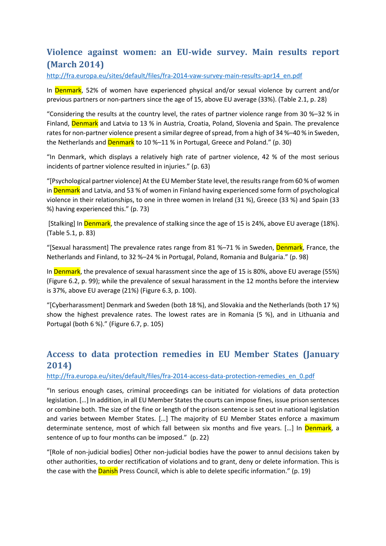# <span id="page-8-0"></span>**Violence against women: an EU-wide survey. Main results report (March 2014)**

[http://fra.europa.eu/sites/default/files/fra-2014-vaw-survey-main-results-apr14\\_en.pdf](http://fra.europa.eu/sites/default/files/fra-2014-vaw-survey-main-results-apr14_en.pdf)

In Denmark, 52% of women have experienced physical and/or sexual violence by current and/or previous partners or non-partners since the age of 15, above EU average (33%). (Table 2.1, p. 28)

"Considering the results at the country level, the rates of partner violence range from 30 %–32 % in Finland, Denmark and Latvia to 13 % in Austria, Croatia, Poland, Slovenia and Spain. The prevalence rates for non-partner violence present a similar degree of spread, from a high of 34 %–40 % in Sweden, the Netherlands and Denmark to 10 %–11 % in Portugal, Greece and Poland." (p. 30)

"In Denmark, which displays a relatively high rate of partner violence, 42 % of the most serious incidents of partner violence resulted in injuries." (p. 63)

"[Psychological partner violence] At the EU Member State level, the results range from 60 % of women in **Denmark** and Latvia, and 53 % of women in Finland having experienced some form of psychological violence in their relationships, to one in three women in Ireland (31 %), Greece (33 %) and Spain (33 %) having experienced this." (p. 73)

[Stalking] In Denmark, the prevalence of stalking since the age of 15 is 24%, above EU average (18%). (Table 5.1, p. 83)

"[Sexual harassment] The prevalence rates range from 81 %-71 % in Sweden, Denmark, France, the Netherlands and Finland, to 32 %–24 % in Portugal, Poland, Romania and Bulgaria." (p. 98)

In Denmark, the prevalence of sexual harassment since the age of 15 is 80%, above EU average (55%) (Figure 6.2, p. 99); while the prevalence of sexual harassment in the 12 months before the interview is 37%, above EU average (21%) (Figure 6.3, p. 100).

"[Cyberharassment] Denmark and Sweden (both 18 %), and Slovakia and the Netherlands (both 17 %) show the highest prevalence rates. The lowest rates are in Romania (5 %), and in Lithuania and Portugal (both 6 %)." (Figure 6.7, p. 105)

# **Access to data protection remedies in EU Member States (January 2014)**

## [http://fra.europa.eu/sites/default/files/fra-2014-access-data-protection-remedies\\_en\\_0.pdf](http://fra.europa.eu/sites/default/files/fra-2014-access-data-protection-remedies_en_0.pdf)

"In serious enough cases, criminal proceedings can be initiated for violations of data protection legislation. […] In addition, in all EU Member States the courts can impose fines, issue prison sentences or combine both. The size of the fine or length of the prison sentence is set out in national legislation and varies between Member States. […] The majority of EU Member States enforce a maximum determinate sentence, most of which fall between six months and five years. [...] In Denmark, a sentence of up to four months can be imposed." (p. 22)

"[Role of non-judicial bodies] Other non-judicial bodies have the power to annul decisions taken by other authorities, to order rectification of violations and to grant, deny or delete information. This is the case with the **Danish** Press Council, which is able to delete specific information." (p. 19)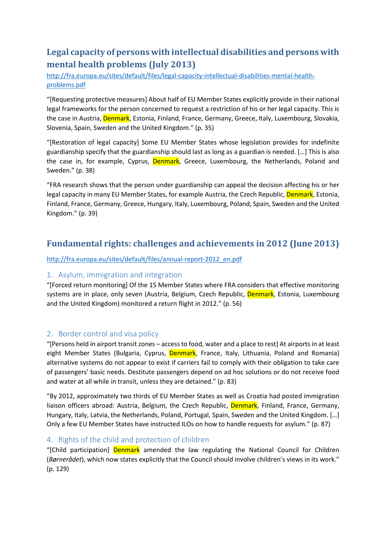# <span id="page-9-0"></span>**Legal capacity of persons with intellectual disabilities and persons with mental health problems (July 2013)**

[http://fra.europa.eu/sites/default/files/legal-capacity-intellectual-disabilities-mental-health](http://fra.europa.eu/sites/default/files/legal-capacity-intellectual-disabilities-mental-health-problems.pdf)[problems.pdf](http://fra.europa.eu/sites/default/files/legal-capacity-intellectual-disabilities-mental-health-problems.pdf)

"[Requesting protective measures] About half of EU Member States explicitly provide in their national legal frameworks for the person concerned to request a restriction of his or her legal capacity. This is the case in Austria, Denmark, Estonia, Finland, France, Germany, Greece, Italy, Luxembourg, Slovakia, Slovenia, Spain, Sweden and the United Kingdom." (p. 35)

"[Restoration of legal capacity] Some EU Member States whose legislation provides for indefinite guardianship specify that the guardianship should last as long as a guardian is needed. […] This is also the case in, for example, Cyprus, Denmark, Greece, Luxembourg, the Netherlands, Poland and Sweden." (p. 38)

"FRA research shows that the person under guardianship can appeal the decision affecting his or her legal capacity in many EU Member States, for example Austria, the Czech Republic, Denmark, Estonia, Finland, France, Germany, Greece, Hungary, Italy, Luxembourg, Poland, Spain, Sweden and the United Kingdom." (p. 39)

## **Fundamental rights: challenges and achievements in 2012 (June 2013)**

[http://fra.europa.eu/sites/default/files/annual-report-2012\\_en.pdf](http://fra.europa.eu/sites/default/files/annual-report-2012_en.pdf)

## <span id="page-9-1"></span>1. Asylum, immigration and integration

"[Forced return monitoring] Of the 15 Member States where FRA considers that effective monitoring systems are in place, only seven (Austria, Belgium, Czech Republic, Denmark, Estonia, Luxembourg and the United Kingdom) monitored a return flight in 2012." (p. 56)

## <span id="page-9-2"></span>2. Border control and visa policy

"[Persons held in airport transit zones – access to food, water and a place to rest] At airports in at least eight Member States (Bulgaria, Cyprus, Denmark, France, Italy, Lithuania, Poland and Romania) alternative systems do not appear to exist if carriers fail to comply with their obligation to take care of passengers' basic needs. Destitute passengers depend on ad hoc solutions or do not receive food and water at all while in transit, unless they are detained." (p. 83)

"By 2012, approximately two thirds of EU Member States as well as Croatia had posted immigration liaison officers abroad: Austria, Belgium, the Czech Republic, Denmark, Finland, France, Germany, Hungary, Italy, Latvia, the Netherlands, Poland, Portugal, Spain, Sweden and the United Kingdom. […] Only a few EU Member States have instructed ILOs on how to handle requests for asylum." (p. 87)

## <span id="page-9-3"></span>4. Rights of the child and protection of children

"[Child participation] **Denmark** amended the law regulating the National Council for Children (*Børnerådet*), which now states explicitly that the Council should involve children's views in its work." (p. 129)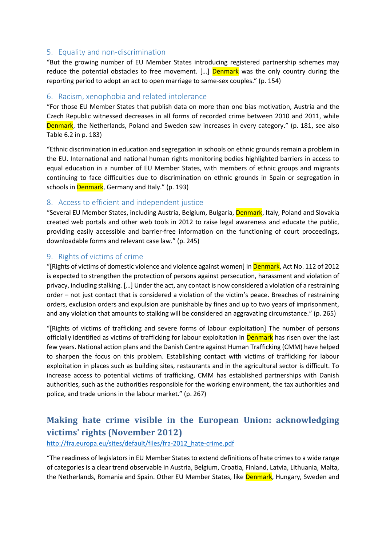## <span id="page-10-0"></span>5. Equality and non-discrimination

"But the growing number of EU Member States introducing registered partnership schemes may reduce the potential obstacles to free movement.  $[...]$  Denmark was the only country during the reporting period to adopt an act to open marriage to same-sex couples." (p. 154)

## <span id="page-10-1"></span>6. Racism, xenophobia and related intolerance

"For those EU Member States that publish data on more than one bias motivation, Austria and the Czech Republic witnessed decreases in all forms of recorded crime between 2010 and 2011, while Denmark, the Netherlands, Poland and Sweden saw increases in every category." (p. 181, see also Table 6.2 in p. 183)

"Ethnic discrimination in education and segregation in schools on ethnic grounds remain a problem in the EU. International and national human rights monitoring bodies highlighted barriers in access to equal education in a number of EU Member States, with members of ethnic groups and migrants continuing to face difficulties due to discrimination on ethnic grounds in Spain or segregation in schools in **Denmark**, Germany and Italy." (p. 193)

## <span id="page-10-2"></span>8. Access to efficient and independent justice

"Several EU Member States, including Austria, Belgium, Bulgaria, Denmark, Italy, Poland and Slovakia created web portals and other web tools in 2012 to raise legal awareness and educate the public, providing easily accessible and barrier-free information on the functioning of court proceedings, downloadable forms and relevant case law." (p. 245)

## <span id="page-10-3"></span>9. Rights of victims of crime

"[Rights of victims of domestic violence and violence against women] In Denmark, Act No. 112 of 2012 is expected to strengthen the protection of persons against persecution, harassment and violation of privacy, including stalking. […] Under the act, any contact is now considered a violation of a restraining order – not just contact that is considered a violation of the victim's peace. Breaches of restraining orders, exclusion orders and expulsion are punishable by fines and up to two years of imprisonment, and any violation that amounts to stalking will be considered an aggravating circumstance." (p. 265)

"[Rights of victims of trafficking and severe forms of labour exploitation] The number of persons officially identified as victims of trafficking for labour exploitation in **Denmark** has risen over the last few years. National action plans and the Danish Centre against Human Trafficking (CMM) have helped to sharpen the focus on this problem. Establishing contact with victims of trafficking for labour exploitation in places such as building sites, restaurants and in the agricultural sector is difficult. To increase access to potential victims of trafficking, CMM has established partnerships with Danish authorities, such as the authorities responsible for the working environment, the tax authorities and police, and trade unions in the labour market." (p. 267)

# <span id="page-10-4"></span>**Making hate crime visible in the European Union: acknowledging victims' rights (November 2012)**

[http://fra.europa.eu/sites/default/files/fra-2012\\_hate-crime.pdf](http://fra.europa.eu/sites/default/files/fra-2012_hate-crime.pdf)

"The readiness of legislators in EU Member States to extend definitions of hate crimes to a wide range of categories is a clear trend observable in Austria, Belgium, Croatia, Finland, Latvia, Lithuania, Malta, the Netherlands, Romania and Spain. Other EU Member States, like Denmark, Hungary, Sweden and